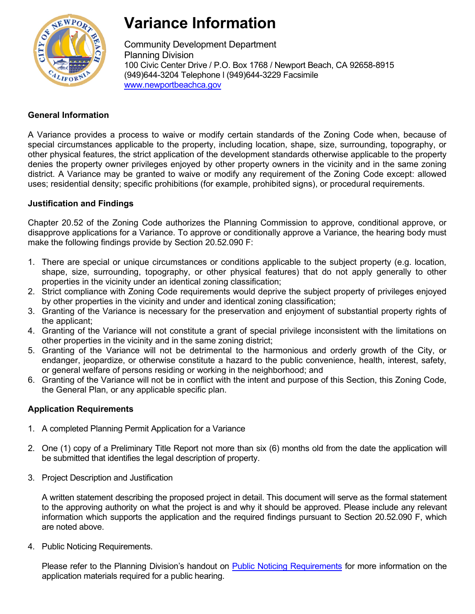

# **Variance Information**

Community Development Department Planning Division 100 Civic Center Drive / P.O. Box 1768 / Newport Beach, CA 92658-8915 (949)644-3204 Telephone l (949)644-3229 Facsimile [www.newportbeachca.gov](http://www.newportbeachca.gov/)

# **General Information**

A Variance provides a process to waive or modify certain standards of the Zoning Code when, because of special circumstances applicable to the property, including location, shape, size, surrounding, topography, or other physical features, the strict application of the development standards otherwise applicable to the property denies the property owner privileges enjoyed by other property owners in the vicinity and in the same zoning district. A Variance may be granted to waive or modify any requirement of the Zoning Code except: allowed uses; residential density; specific prohibitions (for example, prohibited signs), or procedural requirements.

### **Justification and Findings**

Chapter 20.52 of the Zoning Code authorizes the Planning Commission to approve, conditional approve, or disapprove applications for a Variance. To approve or conditionally approve a Variance, the hearing body must make the following findings provide by Section 20.52.090 F:

- 1. There are special or unique circumstances or conditions applicable to the subject property (e.g. location, shape, size, surrounding, topography, or other physical features) that do not apply generally to other properties in the vicinity under an identical zoning classification;
- 2. Strict compliance with Zoning Code requirements would deprive the subject property of privileges enjoyed by other properties in the vicinity and under and identical zoning classification;
- 3. Granting of the Variance is necessary for the preservation and enjoyment of substantial property rights of the applicant;
- 4. Granting of the Variance will not constitute a grant of special privilege inconsistent with the limitations on other properties in the vicinity and in the same zoning district;
- 5. Granting of the Variance will not be detrimental to the harmonious and orderly growth of the City, or endanger, jeopardize, or otherwise constitute a hazard to the public convenience, health, interest, safety, or general welfare of persons residing or working in the neighborhood; and
- 6. Granting of the Variance will not be in conflict with the intent and purpose of this Section, this Zoning Code, the General Plan, or any applicable specific plan.

## **Application Requirements**

- 1. A completed Planning Permit Application for a Variance
- 2. One (1) copy of a Preliminary Title Report not more than six (6) months old from the date the application will be submitted that identifies the legal description of property.
- 3. Project Description and Justification

A written statement describing the proposed project in detail. This document will serve as the formal statement to the approving authority on what the project is and why it should be approved. Please include any relevant information which supports the application and the required findings pursuant to Section 20.52.090 F, which are noted above.

4. Public Noticing Requirements.

Please refer to the Planning Division's handout on [Public Noticing Requirements](http://www.newportbeachca.gov/Modules/ShowDocument.aspx?documentid=10041) for more information on the application materials required for a public hearing.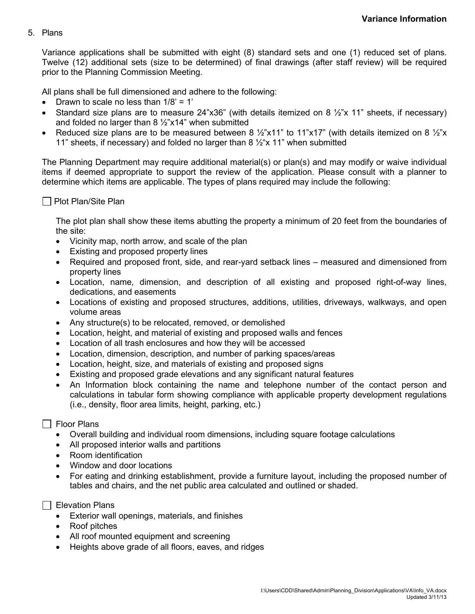#### 5. Plans

Variance applications shall be submitted with eight (8) standard sets and one (1) reduced set of plans. Twelve (12) additional sets (size to be determined) of final drawings (after staff review) will be required prior to the Planning Commission Meeting.

All plans shall be full dimensioned and adhere to the following:

- Drawn to scale no less than  $1/8$ ' = 1'
- Standard size plans are to measure  $24"x36"$  (with details itemized on 8  $\frac{1}{2}x$  11" sheets, if necessary) and folded no larger than  $8\frac{1}{2}$ "x14" when submitted
- Reduced size plans are to be measured between 8  $\frac{1}{2}$ "x11" to 11"x17" (with details itemized on 8  $\frac{1}{2}$ "x 11" sheets, if necessary) and folded no larger than 8  $\frac{1}{2}x$  11" when submitted

The Planning Department may require additional material(s) or plan(s) and may modify or waive individual items if deemed appropriate to support the review of the application. Please consult with a planner to determine which items are applicable. The types of plans required may include the following:

#### $\Box$  Plot Plan/Site Plan

The plot plan shall show these items abutting the property a minimum of 20 feet from the boundaries of the site:

- Vicinity map, north arrow, and scale of the plan
- Existing and proposed property lines
- Required and proposed front, side, and rear-yard setback lines measured and dimensioned from property lines
- Location, name, dimension, and description of all existing and proposed right-of-way lines, dedications, and easements
- Locations of existing and proposed structures, additions, utilities, driveways, walkways, and open volume areas
- Any structure(s) to be relocated, removed, or demolished
- Location, height, and material of existing and proposed walls and fences
- Location of all trash enclosures and how they will be accessed
- Location, dimension, description, and number of parking spaces/areas
- Location, height, size, and materials of existing and proposed signs
- Existing and proposed grade elevations and any significant natural features
- An Information block containing the name and telephone number of the contact person and calculations in tabular form showing compliance with applicable property development regulations (i.e., density, floor area limits, height, parking, etc.)

#### $\Box$  Floor Plans

- Overall building and individual room dimensions, including square footage calculations
- All proposed interior walls and partitions
- Room identification
- Window and door locations
- For eating and drinking establishment, provide a furniture layout, including the proposed number of tables and chairs, and the net public area calculated and outlined or shaded.
- $\Box$  Elevation Plans
	- Exterior wall openings, materials, and finishes
	- Roof pitches
	- All roof mounted equipment and screening
	- Heights above grade of all floors, eaves, and ridges